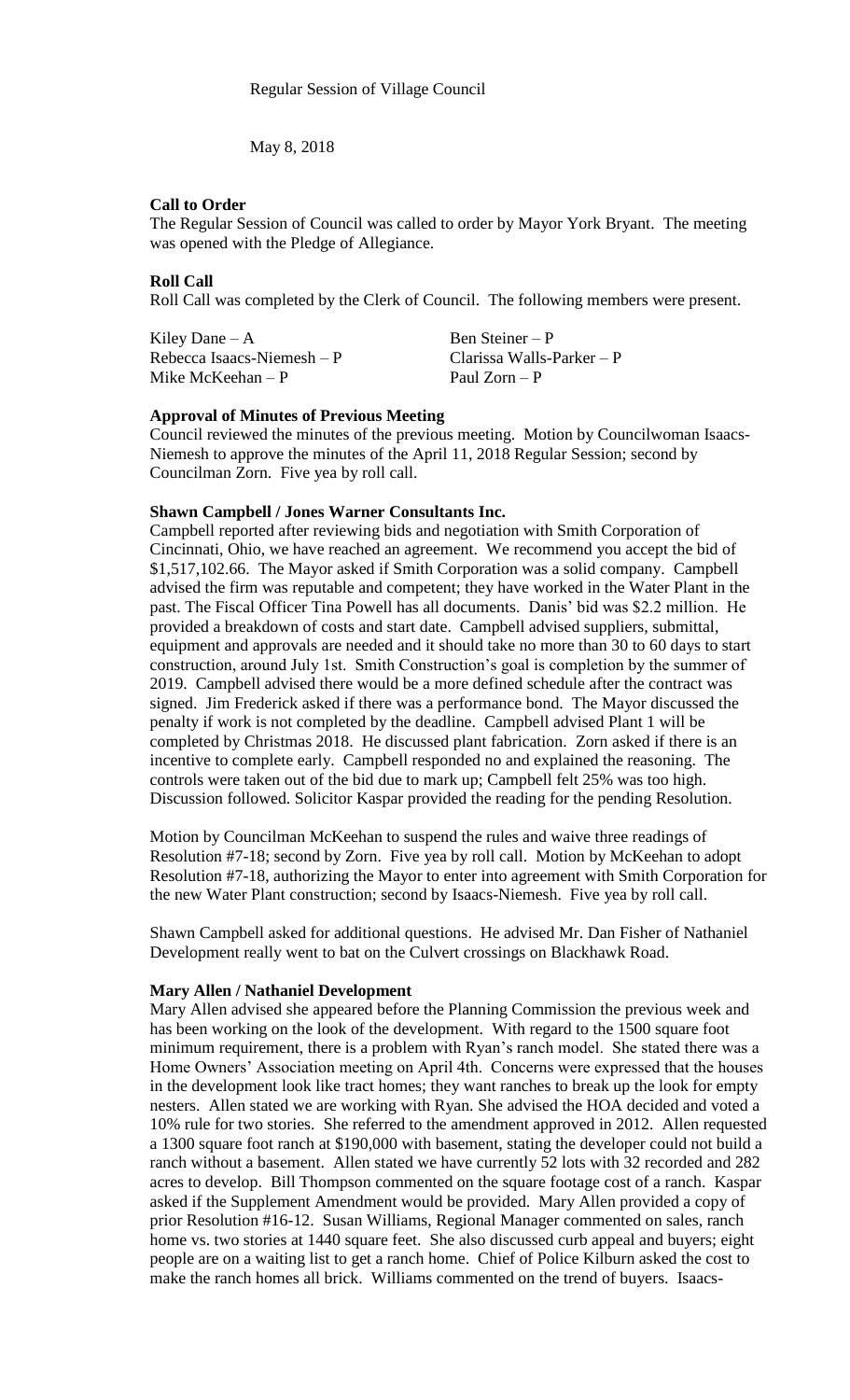May 8, 2018

## **Call to Order**

The Regular Session of Council was called to order by Mayor York Bryant. The meeting was opened with the Pledge of Allegiance.

## **Roll Call**

Roll Call was completed by the Clerk of Council. The following members were present.

Kiley Dane – A Ben Steiner – P Rebecca Isaacs-Niemesh – P Clarissa Walls-Parker – P<br>Mike McKeehan – P P Paul Zorn – P Mike McKeehan –  $P$ 

### **Approval of Minutes of Previous Meeting**

Council reviewed the minutes of the previous meeting. Motion by Councilwoman Isaacs-Niemesh to approve the minutes of the April 11, 2018 Regular Session; second by Councilman Zorn. Five yea by roll call.

## **Shawn Campbell / Jones Warner Consultants Inc.**

Campbell reported after reviewing bids and negotiation with Smith Corporation of Cincinnati, Ohio, we have reached an agreement. We recommend you accept the bid of \$1,517,102.66. The Mayor asked if Smith Corporation was a solid company. Campbell advised the firm was reputable and competent; they have worked in the Water Plant in the past. The Fiscal Officer Tina Powell has all documents. Danis' bid was \$2.2 million. He provided a breakdown of costs and start date. Campbell advised suppliers, submittal, equipment and approvals are needed and it should take no more than 30 to 60 days to start construction, around July 1st. Smith Construction's goal is completion by the summer of 2019. Campbell advised there would be a more defined schedule after the contract was signed. Jim Frederick asked if there was a performance bond. The Mayor discussed the penalty if work is not completed by the deadline. Campbell advised Plant 1 will be completed by Christmas 2018. He discussed plant fabrication. Zorn asked if there is an incentive to complete early. Campbell responded no and explained the reasoning. The controls were taken out of the bid due to mark up; Campbell felt 25% was too high. Discussion followed. Solicitor Kaspar provided the reading for the pending Resolution.

Motion by Councilman McKeehan to suspend the rules and waive three readings of Resolution #7-18; second by Zorn. Five yea by roll call. Motion by McKeehan to adopt Resolution #7-18, authorizing the Mayor to enter into agreement with Smith Corporation for the new Water Plant construction; second by Isaacs-Niemesh. Five yea by roll call.

Shawn Campbell asked for additional questions. He advised Mr. Dan Fisher of Nathaniel Development really went to bat on the Culvert crossings on Blackhawk Road.

### **Mary Allen / Nathaniel Development**

Mary Allen advised she appeared before the Planning Commission the previous week and has been working on the look of the development. With regard to the 1500 square foot minimum requirement, there is a problem with Ryan's ranch model. She stated there was a Home Owners' Association meeting on April 4th. Concerns were expressed that the houses in the development look like tract homes; they want ranches to break up the look for empty nesters. Allen stated we are working with Ryan. She advised the HOA decided and voted a 10% rule for two stories. She referred to the amendment approved in 2012. Allen requested a 1300 square foot ranch at \$190,000 with basement, stating the developer could not build a ranch without a basement. Allen stated we have currently 52 lots with 32 recorded and 282 acres to develop. Bill Thompson commented on the square footage cost of a ranch. Kaspar asked if the Supplement Amendment would be provided. Mary Allen provided a copy of prior Resolution #16-12. Susan Williams, Regional Manager commented on sales, ranch home vs. two stories at 1440 square feet. She also discussed curb appeal and buyers; eight people are on a waiting list to get a ranch home. Chief of Police Kilburn asked the cost to make the ranch homes all brick. Williams commented on the trend of buyers. Isaacs-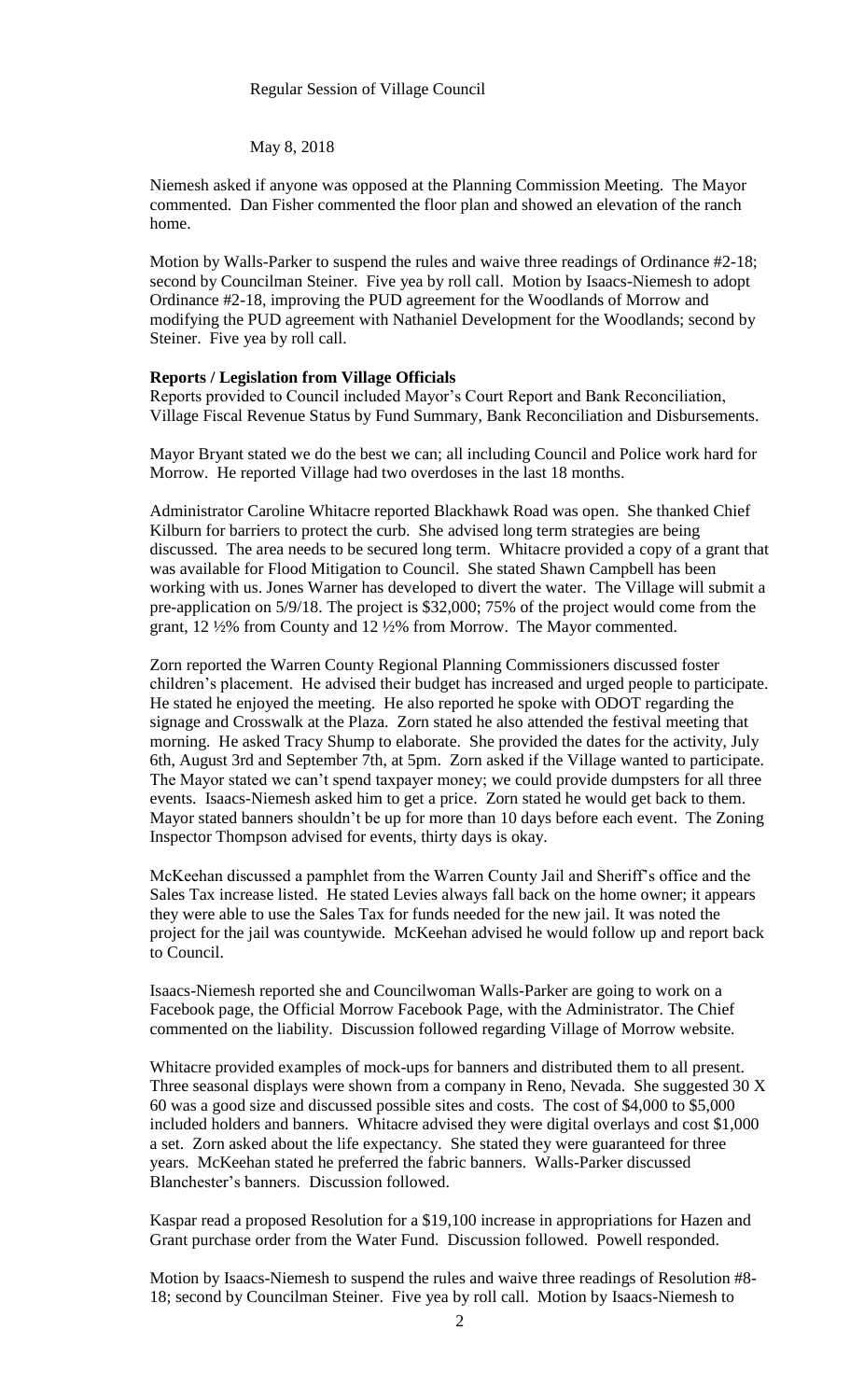#### May 8, 2018

Niemesh asked if anyone was opposed at the Planning Commission Meeting. The Mayor commented. Dan Fisher commented the floor plan and showed an elevation of the ranch home.

Motion by Walls-Parker to suspend the rules and waive three readings of Ordinance #2-18; second by Councilman Steiner. Five yea by roll call. Motion by Isaacs-Niemesh to adopt Ordinance #2-18, improving the PUD agreement for the Woodlands of Morrow and modifying the PUD agreement with Nathaniel Development for the Woodlands; second by Steiner. Five yea by roll call.

#### **Reports / Legislation from Village Officials**

Reports provided to Council included Mayor's Court Report and Bank Reconciliation, Village Fiscal Revenue Status by Fund Summary, Bank Reconciliation and Disbursements.

Mayor Bryant stated we do the best we can; all including Council and Police work hard for Morrow. He reported Village had two overdoses in the last 18 months.

Administrator Caroline Whitacre reported Blackhawk Road was open. She thanked Chief Kilburn for barriers to protect the curb. She advised long term strategies are being discussed. The area needs to be secured long term. Whitacre provided a copy of a grant that was available for Flood Mitigation to Council. She stated Shawn Campbell has been working with us. Jones Warner has developed to divert the water. The Village will submit a pre-application on 5/9/18. The project is \$32,000; 75% of the project would come from the grant, 12 ½% from County and 12 ½% from Morrow. The Mayor commented.

Zorn reported the Warren County Regional Planning Commissioners discussed foster children's placement. He advised their budget has increased and urged people to participate. He stated he enjoyed the meeting. He also reported he spoke with ODOT regarding the signage and Crosswalk at the Plaza. Zorn stated he also attended the festival meeting that morning. He asked Tracy Shump to elaborate. She provided the dates for the activity, July 6th, August 3rd and September 7th, at 5pm. Zorn asked if the Village wanted to participate. The Mayor stated we can't spend taxpayer money; we could provide dumpsters for all three events. Isaacs-Niemesh asked him to get a price. Zorn stated he would get back to them. Mayor stated banners shouldn't be up for more than 10 days before each event. The Zoning Inspector Thompson advised for events, thirty days is okay.

McKeehan discussed a pamphlet from the Warren County Jail and Sheriff's office and the Sales Tax increase listed. He stated Levies always fall back on the home owner; it appears they were able to use the Sales Tax for funds needed for the new jail. It was noted the project for the jail was countywide. McKeehan advised he would follow up and report back to Council.

Isaacs-Niemesh reported she and Councilwoman Walls-Parker are going to work on a Facebook page, the Official Morrow Facebook Page, with the Administrator. The Chief commented on the liability. Discussion followed regarding Village of Morrow website.

Whitacre provided examples of mock-ups for banners and distributed them to all present. Three seasonal displays were shown from a company in Reno, Nevada. She suggested 30 X 60 was a good size and discussed possible sites and costs. The cost of \$4,000 to \$5,000 included holders and banners. Whitacre advised they were digital overlays and cost \$1,000 a set. Zorn asked about the life expectancy. She stated they were guaranteed for three years. McKeehan stated he preferred the fabric banners. Walls-Parker discussed Blanchester's banners. Discussion followed.

Kaspar read a proposed Resolution for a \$19,100 increase in appropriations for Hazen and Grant purchase order from the Water Fund. Discussion followed. Powell responded.

Motion by Isaacs-Niemesh to suspend the rules and waive three readings of Resolution #8- 18; second by Councilman Steiner. Five yea by roll call. Motion by Isaacs-Niemesh to